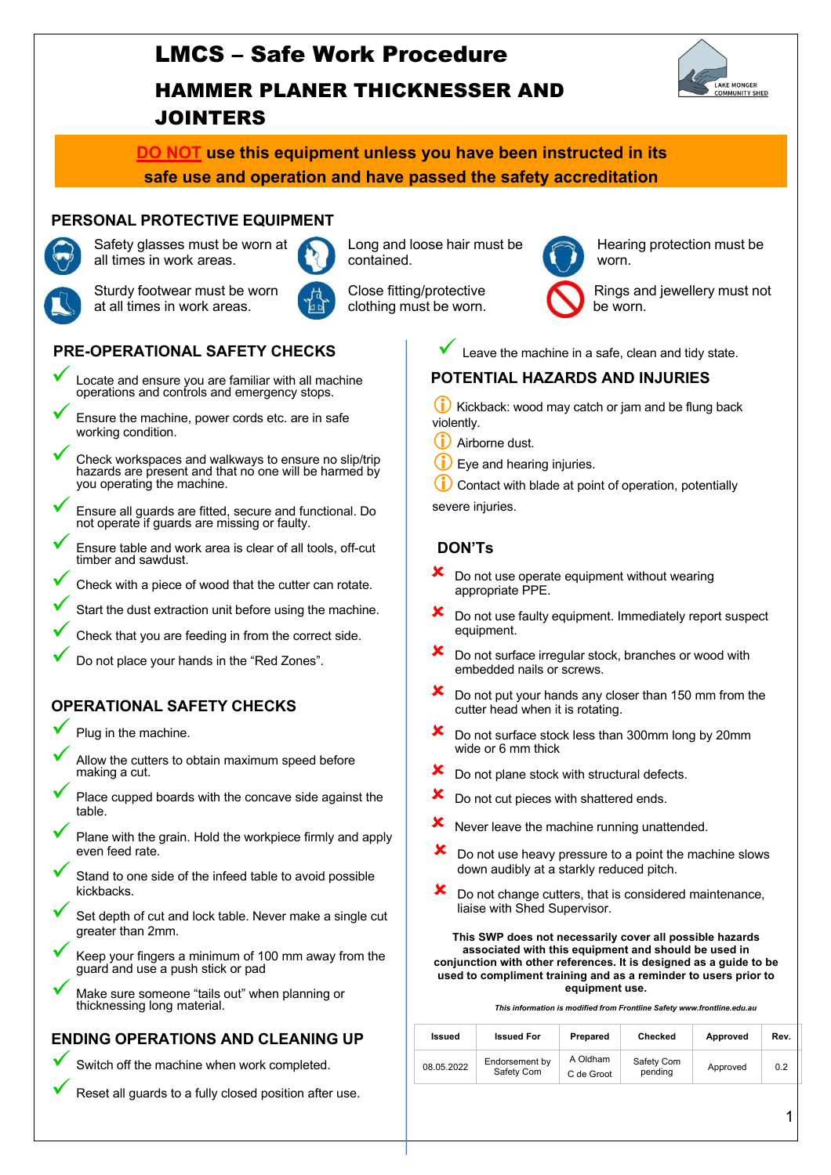# LMCS – Safe Work Procedure HAMMER PLANER THICKNESSER AND JOINTERS



## **DO NOT use this equipment unless you have been instructed in its safe use and operation and have passed the safety accreditation**

### **PERSONAL PROTECTIVE EQUIPMENT**



Safety glasses must be worn at all times in work areas.



Sturdy footwear must be worn at all times in work areas.





- ü Locate and ensure you are familiar with all machine operations and controls and emergency stops.
- Ensure the machine, power cords etc. are in safe working condition.
- ü Check workspaces and walkways to ensure no slip/trip hazards are present and that no one will be harmed by you operating the machine.
- ü Ensure all guards are fitted, secure and functional. Do not operate if guards are missing or faulty.
- Ensure table and work area is clear of all tools, off-cut timber and sawdust.
- Check with a piece of wood that the cutter can rotate.
- Start the dust extraction unit before using the machine.
- Check that you are feeding in from the correct side.
- Do not place your hands in the "Red Zones".

## **OPERATIONAL SAFETY CHECKS**

- Plug in the machine.
- Allow the cutters to obtain maximum speed before making a cut.
- Place cupped boards with the concave side against the table.
- Plane with the grain. Hold the workpiece firmly and apply even feed rate.
- Stand to one side of the infeed table to avoid possible kickbacks.
- Set depth of cut and lock table. Never make a single cut greater than 2mm.
- Keep your fingers a minimum of 100 mm away from the guard and use a push stick or pad
- Make sure someone "tails out" when planning or thicknessing long material.

## **ENDING OPERATIONS AND CLEANING UP**

- Switch off the machine when work completed.
	- Reset all guards to a fully closed position after use.



Close fitting/protective clothing must be worn.



Hearing protection must be worn.



Rings and jewellery must not be worn.

Leave the machine in a safe, clean and tidy state.

#### **POTENTIAL HAZARDS AND INJURIES**

 $(i)$  Kickback: wood may catch or jam and be flung back violently.

- $(i)$  Airborne dust.
- $\dot{\mathbf{U}}$  Eye and hearing injuries.

Contact with blade at point of operation, potentially

severe injuries.

## **DON'Ts**

- Do not use operate equipment without wearing appropriate PPE.
- $\mathbf{\times}$  Do not use faulty equipment. Immediately report suspect equipment.
- $\mathbf{\times}$  Do not surface irregular stock, branches or wood with embedded nails or screws.
- $\boldsymbol{\times}$  Do not put your hands any closer than 150 mm from the cutter head when it is rotating.
- Do not surface stock less than 300mm long by 20mm wide or 6 mm thick
- Do not plane stock with structural defects.
- **X** Do not cut pieces with shattered ends.
- $x$  Never leave the machine running unattended.
- Do not use heavy pressure to a point the machine slows down audibly at a starkly reduced pitch.
- $\boldsymbol{\times}$  Do not change cutters, that is considered maintenance, liaise with Shed Supervisor.

**This SWP does not necessarily cover all possible hazards associated with this equipment and should be used in conjunction with other references. It is designed as a guide to be used to compliment training and as a reminder to users prior to equipment use.**

|  |  | This information is modified from Frontline Safety www.frontline.edu.au |
|--|--|-------------------------------------------------------------------------|
|  |  |                                                                         |

| Issued     | <b>Issued For</b>            | Prepared               | Checked               | Approved | Rev. |
|------------|------------------------------|------------------------|-----------------------|----------|------|
| 08.05.2022 | Endorsement by<br>Safety Com | A Oldham<br>C de Groot | Safety Com<br>pending | Approved | 0.2  |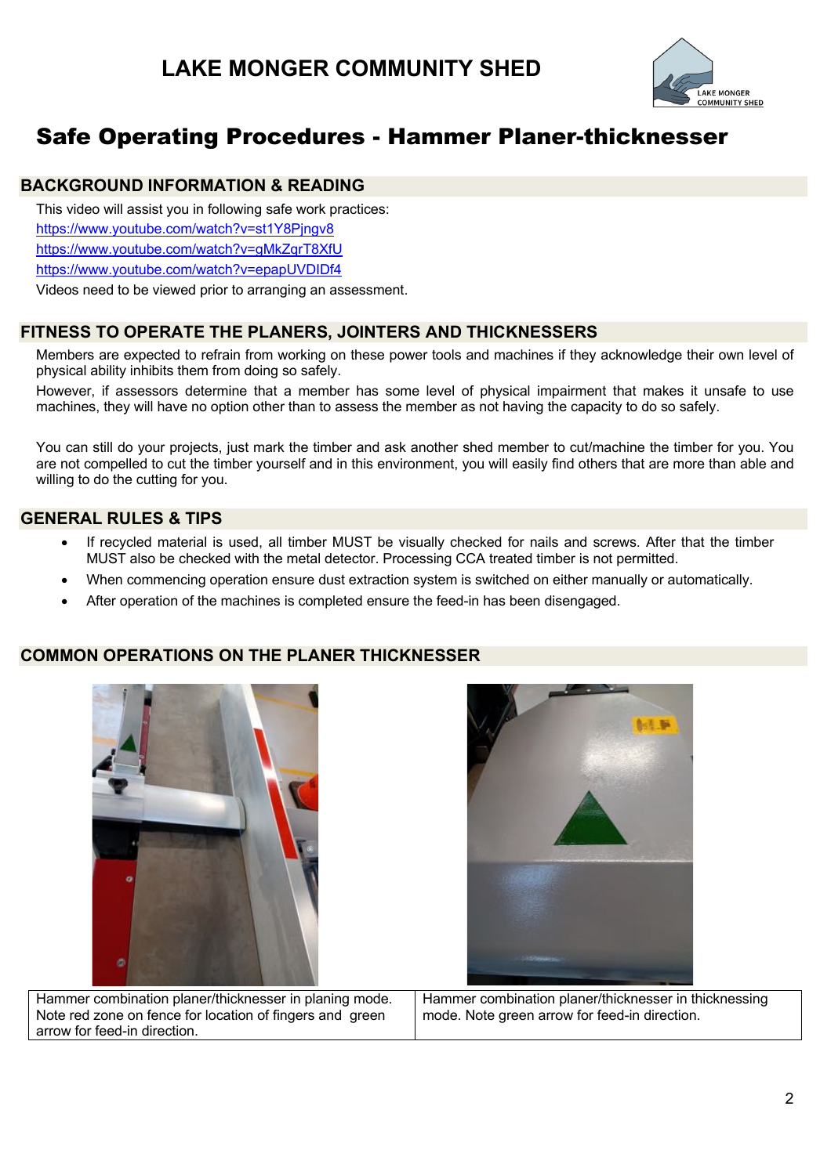

# Safe Operating Procedures - Hammer Planer-thicknesser

#### **BACKGROUND INFORMATION & READING**

This video will assist you in following safe work practices:

https://www.youtube.com/watch?v=st1Y8Pjngv8

https://www.youtube.com/watch?v=gMkZqrT8XfU

https://www.youtube.com/watch?v=epapUVDIDf4

Videos need to be viewed prior to arranging an assessment.

#### **FITNESS TO OPERATE THE PLANERS, JOINTERS AND THICKNESSERS**

Members are expected to refrain from working on these power tools and machines if they acknowledge their own level of physical ability inhibits them from doing so safely.

However, if assessors determine that a member has some level of physical impairment that makes it unsafe to use machines, they will have no option other than to assess the member as not having the capacity to do so safely.

You can still do your projects, just mark the timber and ask another shed member to cut/machine the timber for you. You are not compelled to cut the timber yourself and in this environment, you will easily find others that are more than able and willing to do the cutting for you.

### **GENERAL RULES & TIPS**

- If recycled material is used, all timber MUST be visually checked for nails and screws. After that the timber MUST also be checked with the metal detector. Processing CCA treated timber is not permitted.
- When commencing operation ensure dust extraction system is switched on either manually or automatically.
- After operation of the machines is completed ensure the feed-in has been disengaged.

#### **COMMON OPERATIONS ON THE PLANER THICKNESSER**



Hammer combination planer/thicknesser in planing mode. Note red zone on fence for location of fingers and green arrow for feed-in direction.



Hammer combination planer/thicknesser in thicknessing mode. Note green arrow for feed-in direction.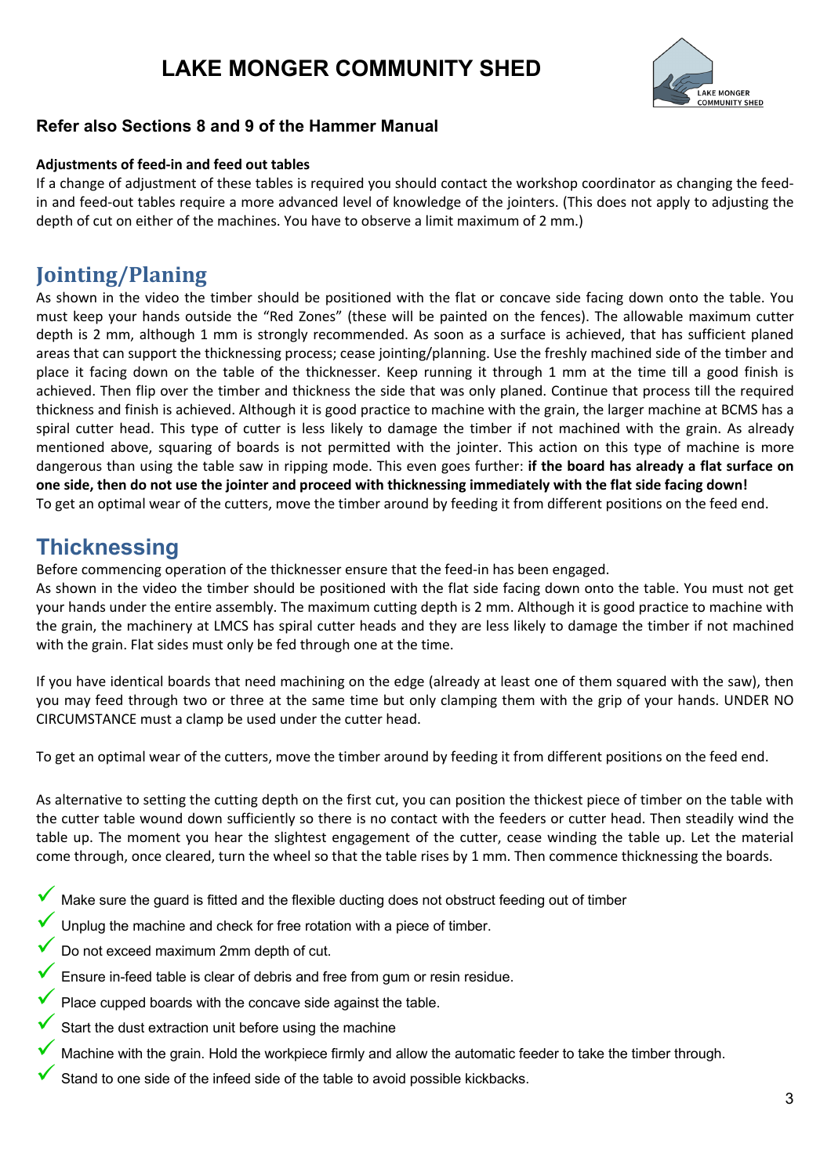# **LAKE MONGER COMMUNITY SHED**



### **Refer also Sections 8 and 9 of the Hammer Manual**

#### **Adjustments of feed-in and feed out tables**

If a change of adjustment of these tables is required you should contact the workshop coordinator as changing the feedin and feed-out tables require a more advanced level of knowledge of the jointers. (This does not apply to adjusting the depth of cut on either of the machines. You have to observe a limit maximum of 2 mm.)

# **Jointing/Planing**

As shown in the video the timber should be positioned with the flat or concave side facing down onto the table. You must keep your hands outside the "Red Zones" (these will be painted on the fences). The allowable maximum cutter depth is 2 mm, although 1 mm is strongly recommended. As soon as a surface is achieved, that has sufficient planed areas that can support the thicknessing process; cease jointing/planning. Use the freshly machined side of the timber and place it facing down on the table of the thicknesser. Keep running it through 1 mm at the time till a good finish is achieved. Then flip over the timber and thickness the side that was only planed. Continue that process till the required thickness and finish is achieved. Although it is good practice to machine with the grain, the larger machine at BCMS has a spiral cutter head. This type of cutter is less likely to damage the timber if not machined with the grain. As already mentioned above, squaring of boards is not permitted with the jointer. This action on this type of machine is more dangerous than using the table saw in ripping mode. This even goes further: **if the board has already a flat surface on one side, then do not use the jointer and proceed with thicknessing immediately with the flat side facing down!** To get an optimal wear of the cutters, move the timber around by feeding it from different positions on the feed end.

# **Thicknessing**

Before commencing operation of the thicknesser ensure that the feed-in has been engaged.

As shown in the video the timber should be positioned with the flat side facing down onto the table. You must not get your hands under the entire assembly. The maximum cutting depth is 2 mm. Although it is good practice to machine with the grain, the machinery at LMCS has spiral cutter heads and they are less likely to damage the timber if not machined with the grain. Flat sides must only be fed through one at the time.

If you have identical boards that need machining on the edge (already at least one of them squared with the saw), then you may feed through two or three at the same time but only clamping them with the grip of your hands. UNDER NO CIRCUMSTANCE must a clamp be used under the cutter head.

To get an optimal wear of the cutters, move the timber around by feeding it from different positions on the feed end.

As alternative to setting the cutting depth on the first cut, you can position the thickest piece of timber on the table with the cutter table wound down sufficiently so there is no contact with the feeders or cutter head. Then steadily wind the table up. The moment you hear the slightest engagement of the cutter, cease winding the table up. Let the material come through, once cleared, turn the wheel so that the table rises by 1 mm. Then commence thicknessing the boards.

- Make sure the guard is fitted and the flexible ducting does not obstruct feeding out of timber
- Unplug the machine and check for free rotation with a piece of timber.
- Do not exceed maximum 2mm depth of cut.
- Ensure in-feed table is clear of debris and free from gum or resin residue.
- Place cupped boards with the concave side against the table.
- Start the dust extraction unit before using the machine
- Machine with the grain. Hold the workpiece firmly and allow the automatic feeder to take the timber through.
- Stand to one side of the infeed side of the table to avoid possible kickbacks.